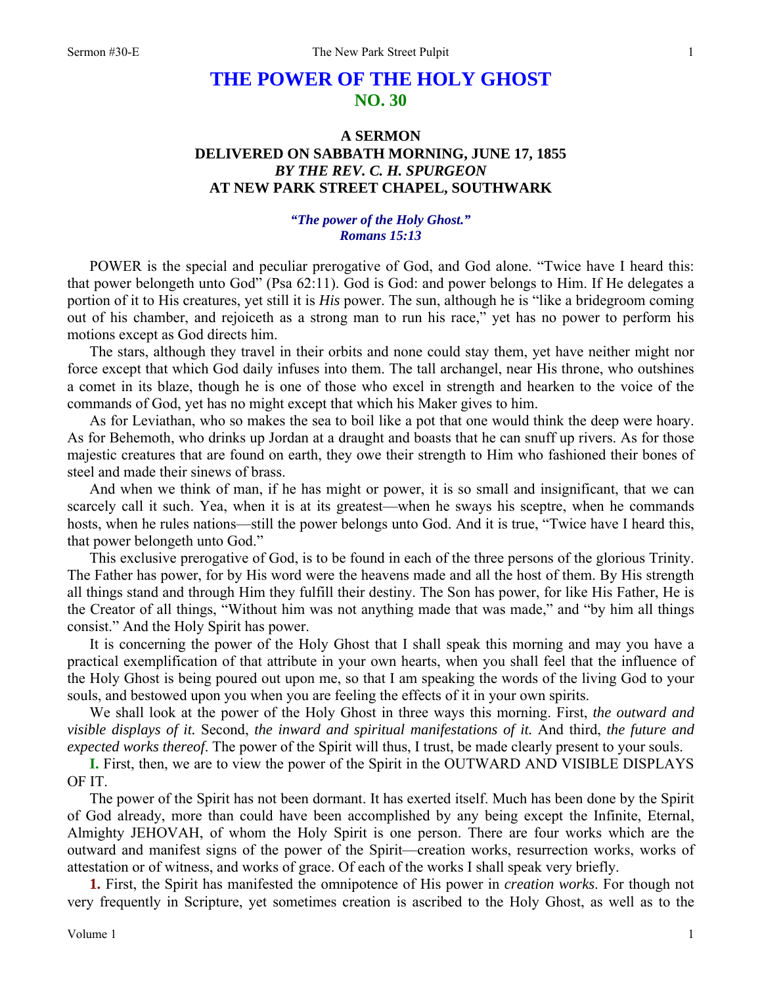## **THE POWER OF THE HOLY GHOST NO. 30**

## **A SERMON DELIVERED ON SABBATH MORNING, JUNE 17, 1855**  *BY THE REV. C. H. SPURGEON*  **AT NEW PARK STREET CHAPEL, SOUTHWARK**

## *"The power of the Holy Ghost." Romans 15:13*

POWER is the special and peculiar prerogative of God, and God alone. "Twice have I heard this: that power belongeth unto God" (Psa 62:11). God is God: and power belongs to Him. If He delegates a portion of it to His creatures, yet still it is *His* power. The sun, although he is "like a bridegroom coming out of his chamber, and rejoiceth as a strong man to run his race," yet has no power to perform his motions except as God directs him.

The stars, although they travel in their orbits and none could stay them, yet have neither might nor force except that which God daily infuses into them. The tall archangel, near His throne, who outshines a comet in its blaze, though he is one of those who excel in strength and hearken to the voice of the commands of God, yet has no might except that which his Maker gives to him.

As for Leviathan, who so makes the sea to boil like a pot that one would think the deep were hoary. As for Behemoth, who drinks up Jordan at a draught and boasts that he can snuff up rivers. As for those majestic creatures that are found on earth, they owe their strength to Him who fashioned their bones of steel and made their sinews of brass.

And when we think of man, if he has might or power, it is so small and insignificant, that we can scarcely call it such. Yea, when it is at its greatest—when he sways his sceptre, when he commands hosts, when he rules nations—still the power belongs unto God. And it is true, "Twice have I heard this, that power belongeth unto God."

This exclusive prerogative of God, is to be found in each of the three persons of the glorious Trinity. The Father has power, for by His word were the heavens made and all the host of them. By His strength all things stand and through Him they fulfill their destiny. The Son has power, for like His Father, He is the Creator of all things, "Without him was not anything made that was made," and "by him all things consist." And the Holy Spirit has power.

It is concerning the power of the Holy Ghost that I shall speak this morning and may you have a practical exemplification of that attribute in your own hearts, when you shall feel that the influence of the Holy Ghost is being poured out upon me, so that I am speaking the words of the living God to your souls, and bestowed upon you when you are feeling the effects of it in your own spirits.

We shall look at the power of the Holy Ghost in three ways this morning. First, *the outward and visible displays of it.* Second, *the inward and spiritual manifestations of it.* And third, *the future and expected works thereof*. The power of the Spirit will thus, I trust, be made clearly present to your souls.

**I.** First, then, we are to view the power of the Spirit in the OUTWARD AND VISIBLE DISPLAYS OF IT.

The power of the Spirit has not been dormant. It has exerted itself. Much has been done by the Spirit of God already, more than could have been accomplished by any being except the Infinite, Eternal, Almighty JEHOVAH, of whom the Holy Spirit is one person. There are four works which are the outward and manifest signs of the power of the Spirit—creation works, resurrection works, works of attestation or of witness, and works of grace. Of each of the works I shall speak very briefly.

**1.** First, the Spirit has manifested the omnipotence of His power in *creation works*. For though not very frequently in Scripture, yet sometimes creation is ascribed to the Holy Ghost, as well as to the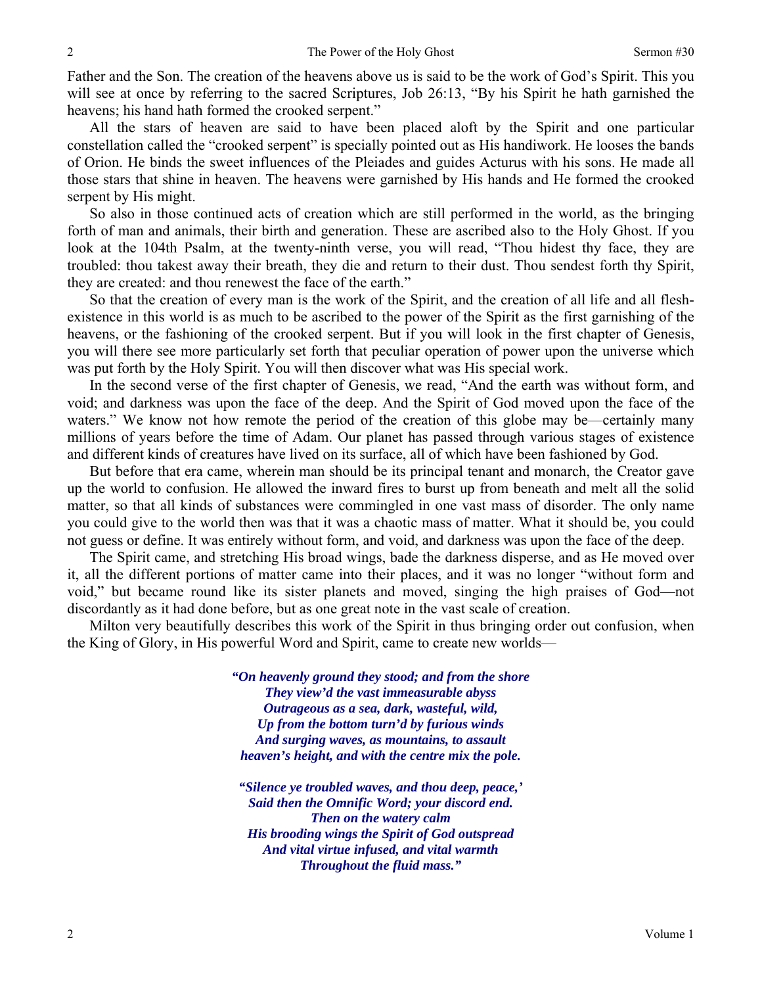Father and the Son. The creation of the heavens above us is said to be the work of God's Spirit. This you will see at once by referring to the sacred Scriptures, Job 26:13, "By his Spirit he hath garnished the heavens; his hand hath formed the crooked serpent."

All the stars of heaven are said to have been placed aloft by the Spirit and one particular constellation called the "crooked serpent" is specially pointed out as His handiwork. He looses the bands of Orion. He binds the sweet influences of the Pleiades and guides Acturus with his sons. He made all those stars that shine in heaven. The heavens were garnished by His hands and He formed the crooked serpent by His might.

So also in those continued acts of creation which are still performed in the world, as the bringing forth of man and animals, their birth and generation. These are ascribed also to the Holy Ghost. If you look at the 104th Psalm, at the twenty-ninth verse, you will read, "Thou hidest thy face, they are troubled: thou takest away their breath, they die and return to their dust. Thou sendest forth thy Spirit, they are created: and thou renewest the face of the earth."

So that the creation of every man is the work of the Spirit, and the creation of all life and all fleshexistence in this world is as much to be ascribed to the power of the Spirit as the first garnishing of the heavens, or the fashioning of the crooked serpent. But if you will look in the first chapter of Genesis, you will there see more particularly set forth that peculiar operation of power upon the universe which was put forth by the Holy Spirit. You will then discover what was His special work.

In the second verse of the first chapter of Genesis, we read, "And the earth was without form, and void; and darkness was upon the face of the deep. And the Spirit of God moved upon the face of the waters." We know not how remote the period of the creation of this globe may be—certainly many millions of years before the time of Adam. Our planet has passed through various stages of existence and different kinds of creatures have lived on its surface, all of which have been fashioned by God.

But before that era came, wherein man should be its principal tenant and monarch, the Creator gave up the world to confusion. He allowed the inward fires to burst up from beneath and melt all the solid matter, so that all kinds of substances were commingled in one vast mass of disorder. The only name you could give to the world then was that it was a chaotic mass of matter. What it should be, you could not guess or define. It was entirely without form, and void, and darkness was upon the face of the deep.

The Spirit came, and stretching His broad wings, bade the darkness disperse, and as He moved over it, all the different portions of matter came into their places, and it was no longer "without form and void," but became round like its sister planets and moved, singing the high praises of God—not discordantly as it had done before, but as one great note in the vast scale of creation.

Milton very beautifully describes this work of the Spirit in thus bringing order out confusion, when the King of Glory, in His powerful Word and Spirit, came to create new worlds—

> *"On heavenly ground they stood; and from the shore They view'd the vast immeasurable abyss Outrageous as a sea, dark, wasteful, wild, Up from the bottom turn'd by furious winds And surging waves, as mountains, to assault heaven's height, and with the centre mix the pole.*

*"Silence ye troubled waves, and thou deep, peace,' Said then the Omnific Word; your discord end. Then on the watery calm His brooding wings the Spirit of God outspread And vital virtue infused, and vital warmth Throughout the fluid mass."*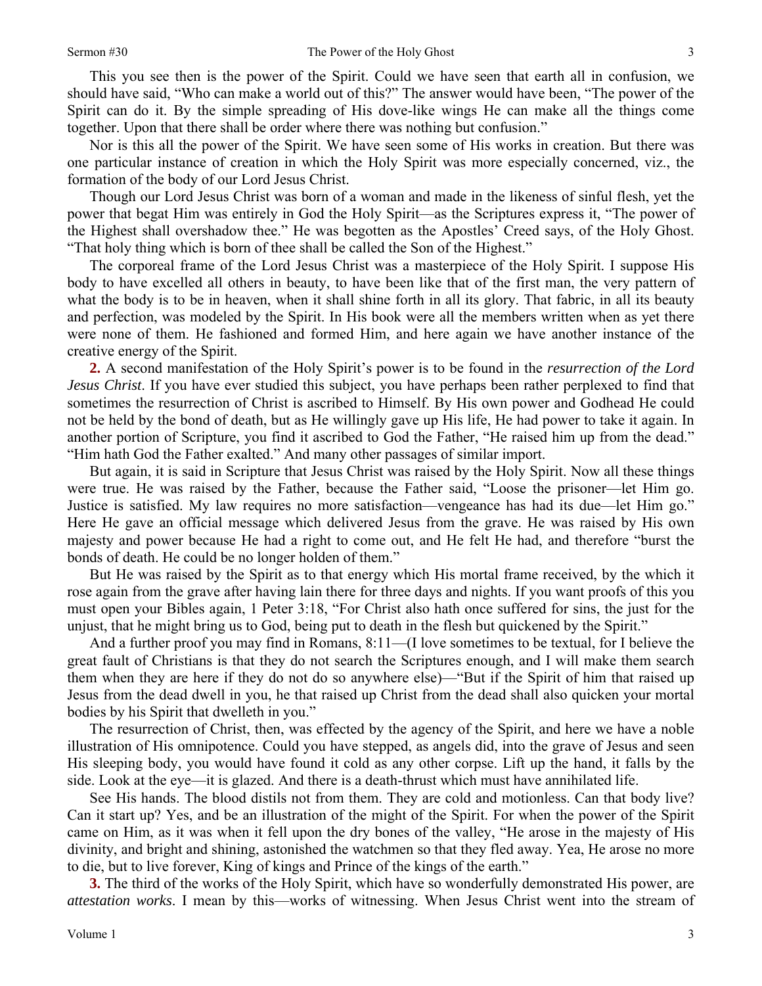This you see then is the power of the Spirit. Could we have seen that earth all in confusion, we should have said, "Who can make a world out of this?" The answer would have been, "The power of the Spirit can do it. By the simple spreading of His dove-like wings He can make all the things come together. Upon that there shall be order where there was nothing but confusion."

Nor is this all the power of the Spirit. We have seen some of His works in creation. But there was one particular instance of creation in which the Holy Spirit was more especially concerned, viz., the formation of the body of our Lord Jesus Christ.

Though our Lord Jesus Christ was born of a woman and made in the likeness of sinful flesh, yet the power that begat Him was entirely in God the Holy Spirit—as the Scriptures express it, "The power of the Highest shall overshadow thee." He was begotten as the Apostles' Creed says, of the Holy Ghost. "That holy thing which is born of thee shall be called the Son of the Highest."

The corporeal frame of the Lord Jesus Christ was a masterpiece of the Holy Spirit. I suppose His body to have excelled all others in beauty, to have been like that of the first man, the very pattern of what the body is to be in heaven, when it shall shine forth in all its glory. That fabric, in all its beauty and perfection, was modeled by the Spirit. In His book were all the members written when as yet there were none of them. He fashioned and formed Him, and here again we have another instance of the creative energy of the Spirit.

**2.** A second manifestation of the Holy Spirit's power is to be found in the *resurrection of the Lord Jesus Christ*. If you have ever studied this subject, you have perhaps been rather perplexed to find that sometimes the resurrection of Christ is ascribed to Himself. By His own power and Godhead He could not be held by the bond of death, but as He willingly gave up His life, He had power to take it again. In another portion of Scripture, you find it ascribed to God the Father, "He raised him up from the dead." "Him hath God the Father exalted." And many other passages of similar import.

But again, it is said in Scripture that Jesus Christ was raised by the Holy Spirit. Now all these things were true. He was raised by the Father, because the Father said, "Loose the prisoner—let Him go. Justice is satisfied. My law requires no more satisfaction—vengeance has had its due—let Him go." Here He gave an official message which delivered Jesus from the grave. He was raised by His own majesty and power because He had a right to come out, and He felt He had, and therefore "burst the bonds of death. He could be no longer holden of them."

But He was raised by the Spirit as to that energy which His mortal frame received, by the which it rose again from the grave after having lain there for three days and nights. If you want proofs of this you must open your Bibles again, 1 Peter 3:18, "For Christ also hath once suffered for sins, the just for the unjust, that he might bring us to God, being put to death in the flesh but quickened by the Spirit."

And a further proof you may find in Romans, 8:11—(I love sometimes to be textual, for I believe the great fault of Christians is that they do not search the Scriptures enough, and I will make them search them when they are here if they do not do so anywhere else)—"But if the Spirit of him that raised up Jesus from the dead dwell in you, he that raised up Christ from the dead shall also quicken your mortal bodies by his Spirit that dwelleth in you."

The resurrection of Christ, then, was effected by the agency of the Spirit, and here we have a noble illustration of His omnipotence. Could you have stepped, as angels did, into the grave of Jesus and seen His sleeping body, you would have found it cold as any other corpse. Lift up the hand, it falls by the side. Look at the eye—it is glazed. And there is a death-thrust which must have annihilated life.

See His hands. The blood distils not from them. They are cold and motionless. Can that body live? Can it start up? Yes, and be an illustration of the might of the Spirit. For when the power of the Spirit came on Him, as it was when it fell upon the dry bones of the valley, "He arose in the majesty of His divinity, and bright and shining, astonished the watchmen so that they fled away. Yea, He arose no more to die, but to live forever, King of kings and Prince of the kings of the earth."

**3.** The third of the works of the Holy Spirit, which have so wonderfully demonstrated His power, are *attestation works*. I mean by this—works of witnessing. When Jesus Christ went into the stream of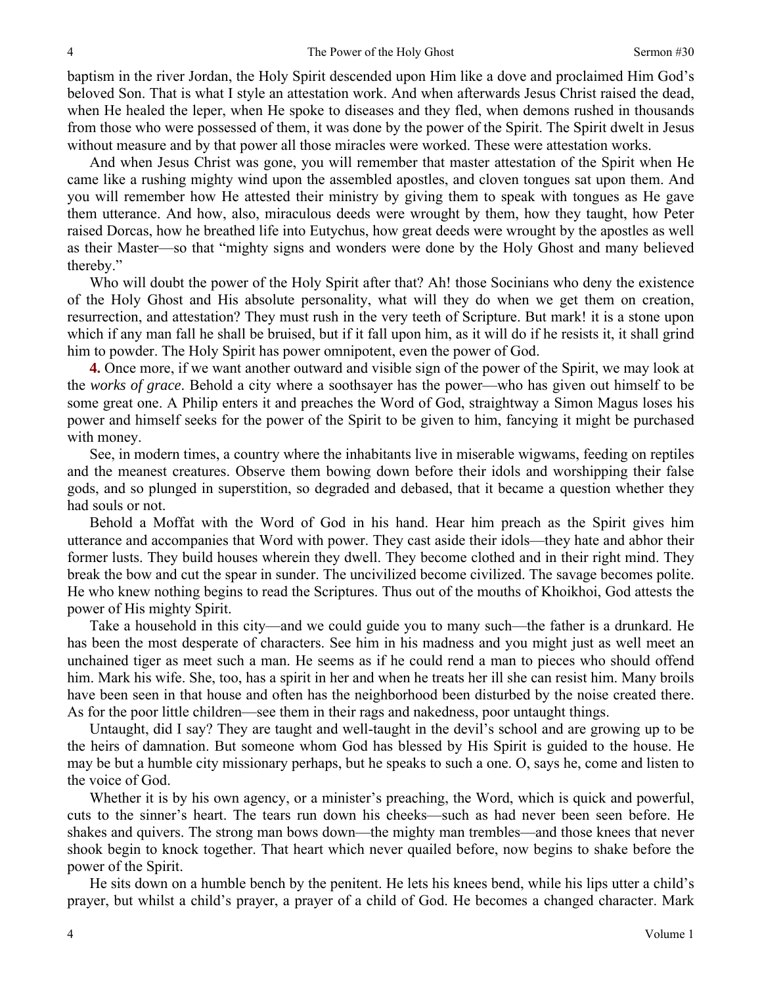baptism in the river Jordan, the Holy Spirit descended upon Him like a dove and proclaimed Him God's beloved Son. That is what I style an attestation work. And when afterwards Jesus Christ raised the dead, when He healed the leper, when He spoke to diseases and they fled, when demons rushed in thousands from those who were possessed of them, it was done by the power of the Spirit. The Spirit dwelt in Jesus without measure and by that power all those miracles were worked. These were attestation works.

And when Jesus Christ was gone, you will remember that master attestation of the Spirit when He came like a rushing mighty wind upon the assembled apostles, and cloven tongues sat upon them. And you will remember how He attested their ministry by giving them to speak with tongues as He gave them utterance. And how, also, miraculous deeds were wrought by them, how they taught, how Peter raised Dorcas, how he breathed life into Eutychus, how great deeds were wrought by the apostles as well as their Master—so that "mighty signs and wonders were done by the Holy Ghost and many believed thereby."

Who will doubt the power of the Holy Spirit after that? Ah! those Socinians who deny the existence of the Holy Ghost and His absolute personality, what will they do when we get them on creation, resurrection, and attestation? They must rush in the very teeth of Scripture. But mark! it is a stone upon which if any man fall he shall be bruised, but if it fall upon him, as it will do if he resists it, it shall grind him to powder. The Holy Spirit has power omnipotent, even the power of God.

**4.** Once more, if we want another outward and visible sign of the power of the Spirit, we may look at the *works of grace*. Behold a city where a soothsayer has the power—who has given out himself to be some great one. A Philip enters it and preaches the Word of God, straightway a Simon Magus loses his power and himself seeks for the power of the Spirit to be given to him, fancying it might be purchased with money.

See, in modern times, a country where the inhabitants live in miserable wigwams, feeding on reptiles and the meanest creatures. Observe them bowing down before their idols and worshipping their false gods, and so plunged in superstition, so degraded and debased, that it became a question whether they had souls or not.

Behold a Moffat with the Word of God in his hand. Hear him preach as the Spirit gives him utterance and accompanies that Word with power. They cast aside their idols—they hate and abhor their former lusts. They build houses wherein they dwell. They become clothed and in their right mind. They break the bow and cut the spear in sunder. The uncivilized become civilized. The savage becomes polite. He who knew nothing begins to read the Scriptures. Thus out of the mouths of Khoikhoi, God attests the power of His mighty Spirit.

Take a household in this city—and we could guide you to many such—the father is a drunkard. He has been the most desperate of characters. See him in his madness and you might just as well meet an unchained tiger as meet such a man. He seems as if he could rend a man to pieces who should offend him. Mark his wife. She, too, has a spirit in her and when he treats her ill she can resist him. Many broils have been seen in that house and often has the neighborhood been disturbed by the noise created there. As for the poor little children—see them in their rags and nakedness, poor untaught things.

Untaught, did I say? They are taught and well-taught in the devil's school and are growing up to be the heirs of damnation. But someone whom God has blessed by His Spirit is guided to the house. He may be but a humble city missionary perhaps, but he speaks to such a one. O, says he, come and listen to the voice of God.

Whether it is by his own agency, or a minister's preaching, the Word, which is quick and powerful, cuts to the sinner's heart. The tears run down his cheeks—such as had never been seen before. He shakes and quivers. The strong man bows down—the mighty man trembles—and those knees that never shook begin to knock together. That heart which never quailed before, now begins to shake before the power of the Spirit.

He sits down on a humble bench by the penitent. He lets his knees bend, while his lips utter a child's prayer, but whilst a child's prayer, a prayer of a child of God. He becomes a changed character. Mark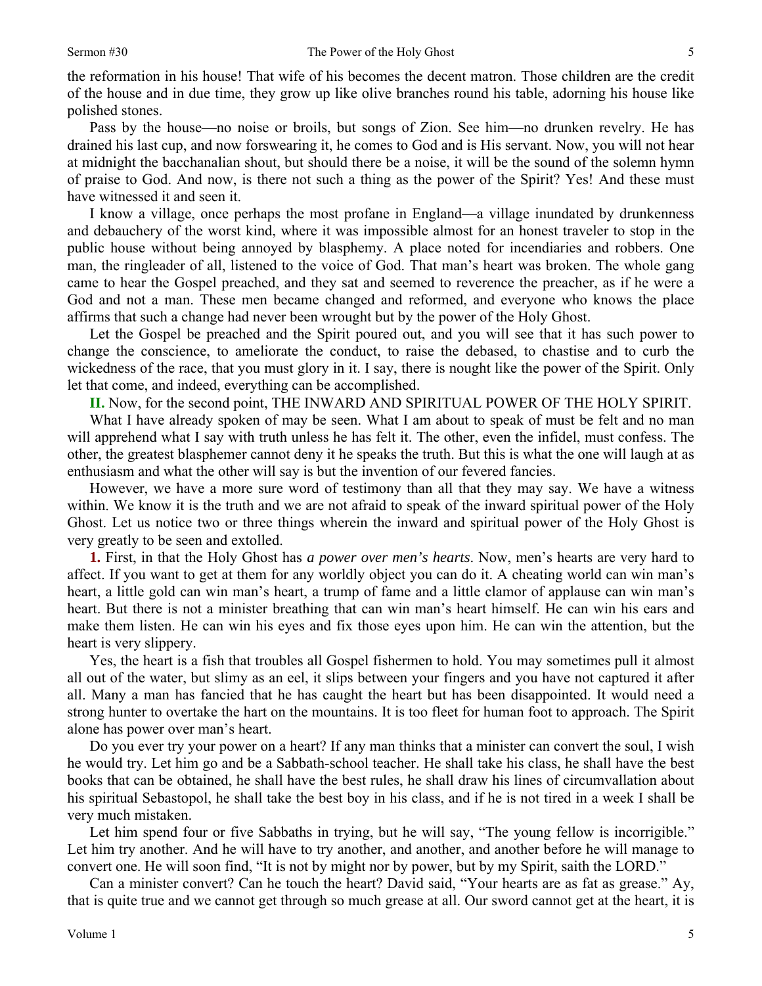the reformation in his house! That wife of his becomes the decent matron. Those children are the credit of the house and in due time, they grow up like olive branches round his table, adorning his house like polished stones.

Pass by the house—no noise or broils, but songs of Zion. See him—no drunken revelry. He has drained his last cup, and now forswearing it, he comes to God and is His servant. Now, you will not hear at midnight the bacchanalian shout, but should there be a noise, it will be the sound of the solemn hymn of praise to God. And now, is there not such a thing as the power of the Spirit? Yes! And these must have witnessed it and seen it.

I know a village, once perhaps the most profane in England—a village inundated by drunkenness and debauchery of the worst kind, where it was impossible almost for an honest traveler to stop in the public house without being annoyed by blasphemy. A place noted for incendiaries and robbers. One man, the ringleader of all, listened to the voice of God. That man's heart was broken. The whole gang came to hear the Gospel preached, and they sat and seemed to reverence the preacher, as if he were a God and not a man. These men became changed and reformed, and everyone who knows the place affirms that such a change had never been wrought but by the power of the Holy Ghost.

Let the Gospel be preached and the Spirit poured out, and you will see that it has such power to change the conscience, to ameliorate the conduct, to raise the debased, to chastise and to curb the wickedness of the race, that you must glory in it. I say, there is nought like the power of the Spirit. Only let that come, and indeed, everything can be accomplished.

**II.** Now, for the second point, THE INWARD AND SPIRITUAL POWER OF THE HOLY SPIRIT.

What I have already spoken of may be seen. What I am about to speak of must be felt and no man will apprehend what I say with truth unless he has felt it. The other, even the infidel, must confess. The other, the greatest blasphemer cannot deny it he speaks the truth. But this is what the one will laugh at as enthusiasm and what the other will say is but the invention of our fevered fancies.

However, we have a more sure word of testimony than all that they may say. We have a witness within. We know it is the truth and we are not afraid to speak of the inward spiritual power of the Holy Ghost. Let us notice two or three things wherein the inward and spiritual power of the Holy Ghost is very greatly to be seen and extolled.

**1.** First, in that the Holy Ghost has *a power over men's hearts*. Now, men's hearts are very hard to affect. If you want to get at them for any worldly object you can do it. A cheating world can win man's heart, a little gold can win man's heart, a trump of fame and a little clamor of applause can win man's heart. But there is not a minister breathing that can win man's heart himself. He can win his ears and make them listen. He can win his eyes and fix those eyes upon him. He can win the attention, but the heart is very slippery.

Yes, the heart is a fish that troubles all Gospel fishermen to hold. You may sometimes pull it almost all out of the water, but slimy as an eel, it slips between your fingers and you have not captured it after all. Many a man has fancied that he has caught the heart but has been disappointed. It would need a strong hunter to overtake the hart on the mountains. It is too fleet for human foot to approach. The Spirit alone has power over man's heart.

Do you ever try your power on a heart? If any man thinks that a minister can convert the soul, I wish he would try. Let him go and be a Sabbath-school teacher. He shall take his class, he shall have the best books that can be obtained, he shall have the best rules, he shall draw his lines of circumvallation about his spiritual Sebastopol, he shall take the best boy in his class, and if he is not tired in a week I shall be very much mistaken.

Let him spend four or five Sabbaths in trying, but he will say, "The young fellow is incorrigible." Let him try another. And he will have to try another, and another, and another before he will manage to convert one. He will soon find, "It is not by might nor by power, but by my Spirit, saith the LORD."

Can a minister convert? Can he touch the heart? David said, "Your hearts are as fat as grease." Ay, that is quite true and we cannot get through so much grease at all. Our sword cannot get at the heart, it is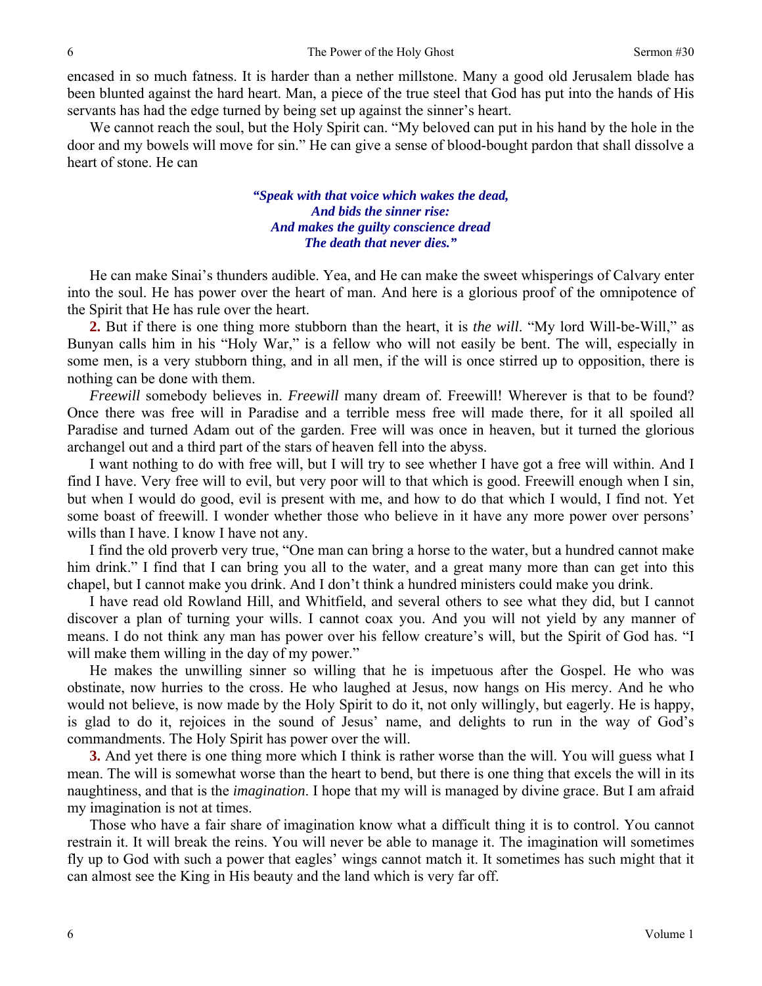encased in so much fatness. It is harder than a nether millstone. Many a good old Jerusalem blade has been blunted against the hard heart. Man, a piece of the true steel that God has put into the hands of His servants has had the edge turned by being set up against the sinner's heart.

We cannot reach the soul, but the Holy Spirit can. "My beloved can put in his hand by the hole in the door and my bowels will move for sin." He can give a sense of blood-bought pardon that shall dissolve a heart of stone. He can

## *"Speak with that voice which wakes the dead, And bids the sinner rise: And makes the guilty conscience dread The death that never dies."*

He can make Sinai's thunders audible. Yea, and He can make the sweet whisperings of Calvary enter into the soul. He has power over the heart of man. And here is a glorious proof of the omnipotence of the Spirit that He has rule over the heart.

**2.** But if there is one thing more stubborn than the heart, it is *the will*. "My lord Will-be-Will," as Bunyan calls him in his "Holy War," is a fellow who will not easily be bent. The will, especially in some men, is a very stubborn thing, and in all men, if the will is once stirred up to opposition, there is nothing can be done with them.

*Freewill* somebody believes in. *Freewill* many dream of. Freewill! Wherever is that to be found? Once there was free will in Paradise and a terrible mess free will made there, for it all spoiled all Paradise and turned Adam out of the garden. Free will was once in heaven, but it turned the glorious archangel out and a third part of the stars of heaven fell into the abyss.

I want nothing to do with free will, but I will try to see whether I have got a free will within. And I find I have. Very free will to evil, but very poor will to that which is good. Freewill enough when I sin, but when I would do good, evil is present with me, and how to do that which I would, I find not. Yet some boast of freewill. I wonder whether those who believe in it have any more power over persons' wills than I have. I know I have not any.

I find the old proverb very true, "One man can bring a horse to the water, but a hundred cannot make him drink." I find that I can bring you all to the water, and a great many more than can get into this chapel, but I cannot make you drink. And I don't think a hundred ministers could make you drink.

I have read old Rowland Hill, and Whitfield, and several others to see what they did, but I cannot discover a plan of turning your wills. I cannot coax you. And you will not yield by any manner of means. I do not think any man has power over his fellow creature's will, but the Spirit of God has. "I will make them willing in the day of my power."

He makes the unwilling sinner so willing that he is impetuous after the Gospel. He who was obstinate, now hurries to the cross. He who laughed at Jesus, now hangs on His mercy. And he who would not believe, is now made by the Holy Spirit to do it, not only willingly, but eagerly. He is happy, is glad to do it, rejoices in the sound of Jesus' name, and delights to run in the way of God's commandments. The Holy Spirit has power over the will.

**3.** And yet there is one thing more which I think is rather worse than the will. You will guess what I mean. The will is somewhat worse than the heart to bend, but there is one thing that excels the will in its naughtiness, and that is the *imagination*. I hope that my will is managed by divine grace. But I am afraid my imagination is not at times.

Those who have a fair share of imagination know what a difficult thing it is to control. You cannot restrain it. It will break the reins. You will never be able to manage it. The imagination will sometimes fly up to God with such a power that eagles' wings cannot match it. It sometimes has such might that it can almost see the King in His beauty and the land which is very far off.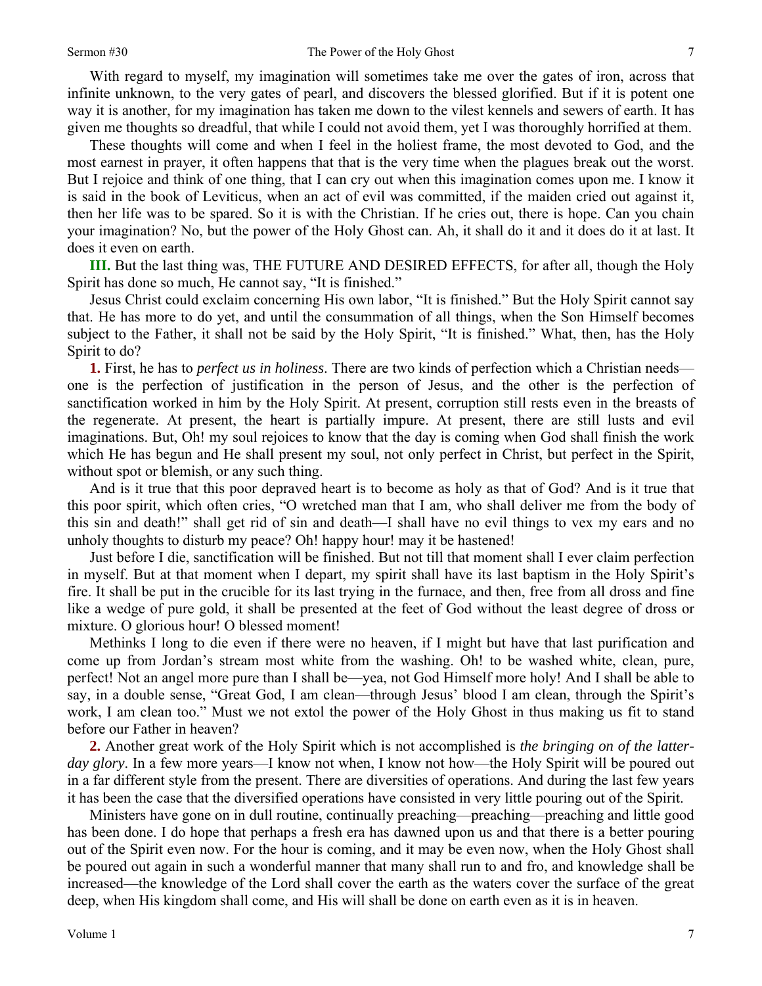With regard to myself, my imagination will sometimes take me over the gates of iron, across that infinite unknown, to the very gates of pearl, and discovers the blessed glorified. But if it is potent one way it is another, for my imagination has taken me down to the vilest kennels and sewers of earth. It has given me thoughts so dreadful, that while I could not avoid them, yet I was thoroughly horrified at them.

These thoughts will come and when I feel in the holiest frame, the most devoted to God, and the most earnest in prayer, it often happens that that is the very time when the plagues break out the worst. But I rejoice and think of one thing, that I can cry out when this imagination comes upon me. I know it is said in the book of Leviticus, when an act of evil was committed, if the maiden cried out against it, then her life was to be spared. So it is with the Christian. If he cries out, there is hope. Can you chain your imagination? No, but the power of the Holy Ghost can. Ah, it shall do it and it does do it at last. It does it even on earth.

**III.** But the last thing was, THE FUTURE AND DESIRED EFFECTS, for after all, though the Holy Spirit has done so much, He cannot say, "It is finished."

Jesus Christ could exclaim concerning His own labor, "It is finished." But the Holy Spirit cannot say that. He has more to do yet, and until the consummation of all things, when the Son Himself becomes subject to the Father, it shall not be said by the Holy Spirit, "It is finished." What, then, has the Holy Spirit to do?

**1.** First, he has to *perfect us in holiness*. There are two kinds of perfection which a Christian needs one is the perfection of justification in the person of Jesus, and the other is the perfection of sanctification worked in him by the Holy Spirit. At present, corruption still rests even in the breasts of the regenerate. At present, the heart is partially impure. At present, there are still lusts and evil imaginations. But, Oh! my soul rejoices to know that the day is coming when God shall finish the work which He has begun and He shall present my soul, not only perfect in Christ, but perfect in the Spirit, without spot or blemish, or any such thing.

And is it true that this poor depraved heart is to become as holy as that of God? And is it true that this poor spirit, which often cries, "O wretched man that I am, who shall deliver me from the body of this sin and death!" shall get rid of sin and death—I shall have no evil things to vex my ears and no unholy thoughts to disturb my peace? Oh! happy hour! may it be hastened!

Just before I die, sanctification will be finished. But not till that moment shall I ever claim perfection in myself. But at that moment when I depart, my spirit shall have its last baptism in the Holy Spirit's fire. It shall be put in the crucible for its last trying in the furnace, and then, free from all dross and fine like a wedge of pure gold, it shall be presented at the feet of God without the least degree of dross or mixture. O glorious hour! O blessed moment!

Methinks I long to die even if there were no heaven, if I might but have that last purification and come up from Jordan's stream most white from the washing. Oh! to be washed white, clean, pure, perfect! Not an angel more pure than I shall be—yea, not God Himself more holy! And I shall be able to say, in a double sense, "Great God, I am clean—through Jesus' blood I am clean, through the Spirit's work, I am clean too." Must we not extol the power of the Holy Ghost in thus making us fit to stand before our Father in heaven?

**2.** Another great work of the Holy Spirit which is not accomplished is *the bringing on of the latterday glory*. In a few more years—I know not when, I know not how—the Holy Spirit will be poured out in a far different style from the present. There are diversities of operations. And during the last few years it has been the case that the diversified operations have consisted in very little pouring out of the Spirit.

Ministers have gone on in dull routine, continually preaching—preaching—preaching and little good has been done. I do hope that perhaps a fresh era has dawned upon us and that there is a better pouring out of the Spirit even now. For the hour is coming, and it may be even now, when the Holy Ghost shall be poured out again in such a wonderful manner that many shall run to and fro, and knowledge shall be increased—the knowledge of the Lord shall cover the earth as the waters cover the surface of the great deep, when His kingdom shall come, and His will shall be done on earth even as it is in heaven.

7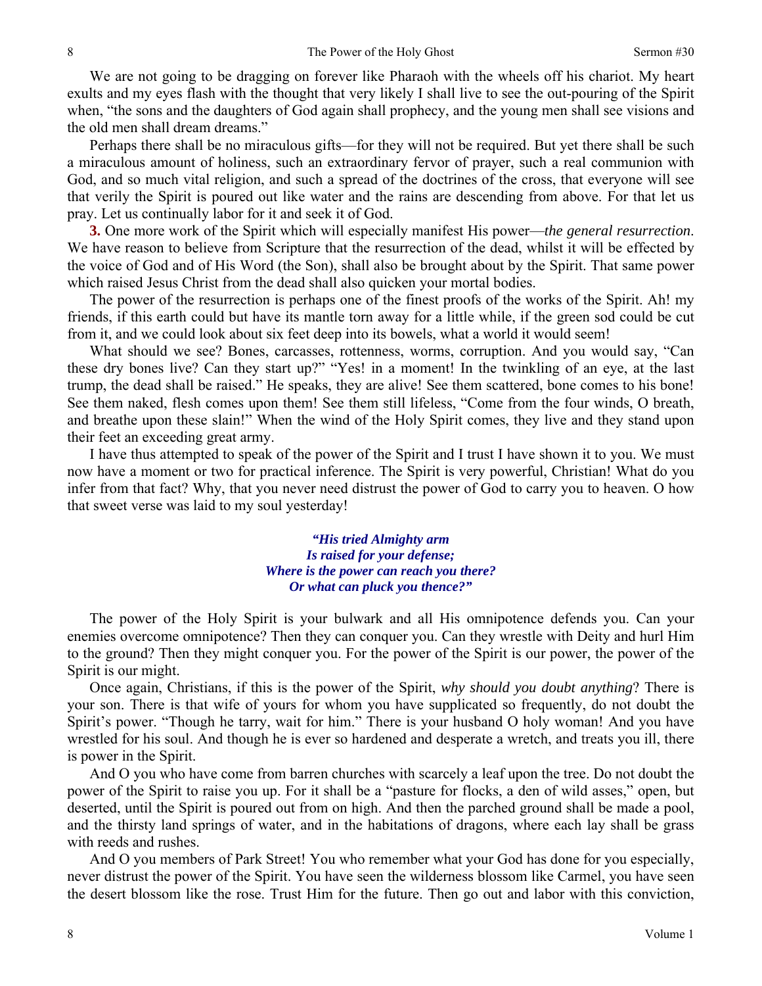We are not going to be dragging on forever like Pharaoh with the wheels off his chariot. My heart exults and my eyes flash with the thought that very likely I shall live to see the out-pouring of the Spirit when, "the sons and the daughters of God again shall prophecy, and the young men shall see visions and the old men shall dream dreams."

Perhaps there shall be no miraculous gifts—for they will not be required. But yet there shall be such a miraculous amount of holiness, such an extraordinary fervor of prayer, such a real communion with God, and so much vital religion, and such a spread of the doctrines of the cross, that everyone will see that verily the Spirit is poured out like water and the rains are descending from above. For that let us pray. Let us continually labor for it and seek it of God.

**3.** One more work of the Spirit which will especially manifest His power—*the general resurrection*. We have reason to believe from Scripture that the resurrection of the dead, whilst it will be effected by the voice of God and of His Word (the Son), shall also be brought about by the Spirit. That same power which raised Jesus Christ from the dead shall also quicken your mortal bodies.

The power of the resurrection is perhaps one of the finest proofs of the works of the Spirit. Ah! my friends, if this earth could but have its mantle torn away for a little while, if the green sod could be cut from it, and we could look about six feet deep into its bowels, what a world it would seem!

What should we see? Bones, carcasses, rottenness, worms, corruption. And you would say, "Can these dry bones live? Can they start up?" "Yes! in a moment! In the twinkling of an eye, at the last trump, the dead shall be raised." He speaks, they are alive! See them scattered, bone comes to his bone! See them naked, flesh comes upon them! See them still lifeless, "Come from the four winds, O breath, and breathe upon these slain!" When the wind of the Holy Spirit comes, they live and they stand upon their feet an exceeding great army.

I have thus attempted to speak of the power of the Spirit and I trust I have shown it to you. We must now have a moment or two for practical inference. The Spirit is very powerful, Christian! What do you infer from that fact? Why, that you never need distrust the power of God to carry you to heaven. O how that sweet verse was laid to my soul yesterday!

> *"His tried Almighty arm Is raised for your defense; Where is the power can reach you there? Or what can pluck you thence?"*

The power of the Holy Spirit is your bulwark and all His omnipotence defends you. Can your enemies overcome omnipotence? Then they can conquer you. Can they wrestle with Deity and hurl Him to the ground? Then they might conquer you. For the power of the Spirit is our power, the power of the Spirit is our might.

Once again, Christians, if this is the power of the Spirit, *why should you doubt anything*? There is your son. There is that wife of yours for whom you have supplicated so frequently, do not doubt the Spirit's power. "Though he tarry, wait for him." There is your husband O holy woman! And you have wrestled for his soul. And though he is ever so hardened and desperate a wretch, and treats you ill, there is power in the Spirit.

And O you who have come from barren churches with scarcely a leaf upon the tree. Do not doubt the power of the Spirit to raise you up. For it shall be a "pasture for flocks, a den of wild asses," open, but deserted, until the Spirit is poured out from on high. And then the parched ground shall be made a pool, and the thirsty land springs of water, and in the habitations of dragons, where each lay shall be grass with reeds and rushes.

And O you members of Park Street! You who remember what your God has done for you especially, never distrust the power of the Spirit. You have seen the wilderness blossom like Carmel, you have seen the desert blossom like the rose. Trust Him for the future. Then go out and labor with this conviction,